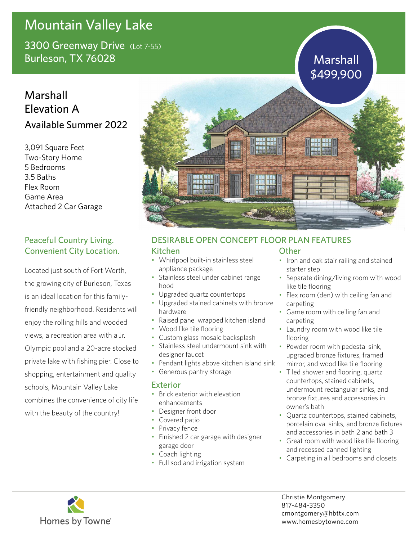# Mountain Valley Lake

3300 Greenway Drive (Lot 7-55) Burleson, TX 76028 Marshall Number 2014 Marshall

## Marshall Elevation A Available Summer 2022

3,091 Square Feet Two-Story Home 5 Bedrooms 3.5 Baths Flex Room Game Area Attached 2 Car Garage

### Peaceful Country Living. Convenient City Location.

Located just south of Fort Worth, the growing city of Burleson, Texas is an ideal location for this familyfriendly neighborhood. Residents will enjoy the rolling hills and wooded views, a recreation area with a Jr. Olympic pool and a 20-acre stocked private lake with fishing pier. Close to shopping, entertainment and quality schools, Mountain Valley Lake combines the convenience of city life with the beauty of the country!



## DESIRABLE OPEN CONCEPT FLOOR PLAN FEATURES

#### Kitchen

- Whirlpool built-in stainless steel appliance package
- Stainless steel under cabinet range hood
- Upgraded quartz countertops
- Upgraded stained cabinets with bronze hardware
- Raised panel wrapped kitchen island
- Wood like tile flooring
- Custom glass mosaic backsplash
- Stainless steel undermount sink with designer faucet
- Pendant lights above kitchen island sink
- Generous pantry storage

#### Exterior

- Brick exterior with elevation enhancements
- Designer front door
- Covered patio
- Privacy fence
- Finished 2 car garage with designer garage door
- Coach lighting
- Full sod and irrigation system

### **Other**

- Iron and oak stair railing and stained starter step
- Separate dining/living room with wood like tile flooring
- Flex room (den) with ceiling fan and carpeting
- Game room with ceiling fan and carpeting
- Laundry room with wood like tile flooring
- Powder room with pedestal sink, upgraded bronze fixtures, framed mirror, and wood like tile flooring
- Tiled shower and flooring, quartz countertops, stained cabinets, undermount rectangular sinks, and bronze fixtures and accessories in owner's bath
- Quartz countertops, stained cabinets, porcelain oval sinks, and bronze fixtures and accessories in bath 2 and bath 3
- Great room with wood like tile flooring and recessed canned lighting
- Carpeting in all bedrooms and closets



Christie Montgomery 817-484-3350 cmontgomery@hbttx.com www.homesbytowne.com